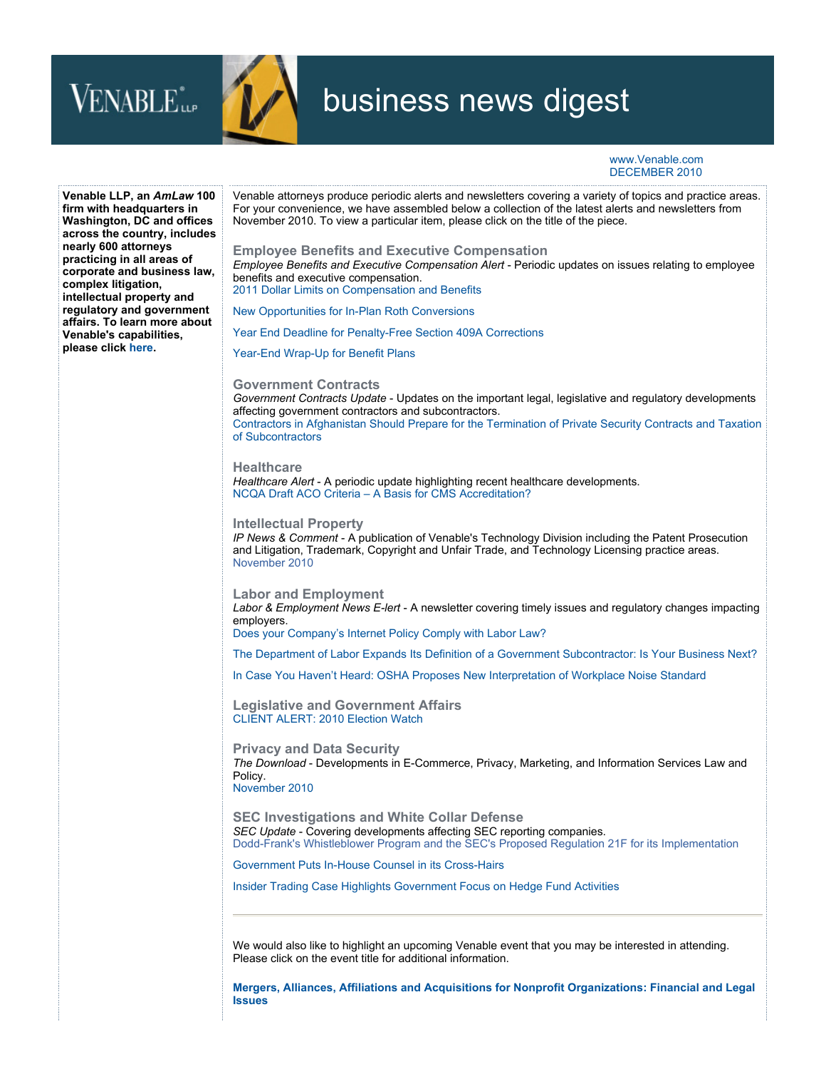



**Issues**

## business news digest

www.Venable.com DECEMBER 2010

**Venable LLP, an** *AmLaw* **100 firm with headquarters in Washington, DC and offices across the country, includes nearly 600 attorneys practicing in all areas of corporate and business law, complex litigation, intellectual property and regulatory and government affairs. To learn more about Venable's capabilities, please click [here.](http://www.venable.com/services/)** Venable attorneys produce periodic alerts and newsletters covering a variety of topics and practice areas. For your convenience, we have assembled below a collection of the latest alerts and newsletters from November 2010. To view a particular item, please click on the title of the piece. **[Employee Benefits and Executive Compensation](http://www.venable.com/Employee-Benefits-and-Executive-Compensation-Practices)** *[Employee Benefits and Executive Compensation Alert](http://www.venable.com/nep/publications/?typeName=Newsletters&PubType=4dfcfdf4-f291-4c93-aa98-5d523f517011)* - Periodic updates on issues relating to employee benefits and executive compensation. [2011 Dollar Limits on Compensation and Benefits](http://www.venable.com/files/Publication/44707575-0764-45e4-902d-b13e7be9a16b/Presentation/PublicationAttachment/fb35009d-df5d-40af-b231-b1a6f2534b93/2011_Dollar_Limits_on_Compensation_and_Benefits.pdf) [New Opportunities for In-Plan Roth Conversions](http://www.venable.com/files/Publication/f0d2418c-828b-4ac9-85c3-606d1a4742f9/Presentation/PublicationAttachment/5a1aabc6-f116-44eb-95d0-62d47315bb45/New_Opportunities_for_In-Plan_Roth_Conversions.pdf) [Year End Deadline for Penalty-Free Section 409A Corrections](http://www.venable.com/files/Publication/a582a4c3-1de5-4362-a447-8a8ad42a52bd/Preview/PublicationAttachment/8e0eb164-05dc-4d87-a82d-8b43c1705c3e/Year_End_Deadline_Penalty-Free_Section_409A_Corrections.pdf) [Year-End Wrap-Up for Benefit Plans](http://www.venable.com/files/Publication/a18064ba-3a3b-468d-8ac2-acf32719ff7f/Preview/PublicationAttachment/d688024b-d2cd-47b2-abc4-b7633f74d5e0/Year-End_Wrap-Up_for_Benefit_Plans.pdf) **[Government Contracts](http://www.venable.com/Government-Contracts)** *[Government Contracts Update](http://www.venable.com/nep/publications/?typeName=Newsletters&PubType=15d39e54-0f43-43f8-98bd-4fb945e599f9)* - Updates on the important legal, legislative and regulatory developments affecting government contractors and subcontractors. [Contractors in Afghanistan Should Prepare for the Termination of Private Security Contracts and Taxation](http://www.venable.com/files/Publication/e2761e1d-7fb5-4c4e-b951-7322e0495ce4/Preview/PublicationAttachment/fb68ba92-6ec3-4974-85f9-7728f26174b5/Government_Contracts_Update_11-10.pdf)  of Subcontractors **[Healthcare](http://www.venable.com/healthcare)** *[Healthcare Alert](http://www.venable.com/nep/publications/?typeName=Newsletters&PubType=f1abd907-a96c-46a5-be73-2b451c850260)* - A periodic update highlighting recent healthcare developments. [NCQA Draft ACO Criteria – A Basis for CMS Accreditation?](http://www.venable.com/files/Publication/ec0d9334-86cb-48fb-adf1-a843d3162035/Presentation/PublicationAttachment/c83786b3-2eb3-424e-8540-bb5bdc4d7eea/Healthcare_Alert_11-10.pdf) **[Intellectual Property](http://www.venable.com/intellectual-property-overview-practices/)** *[IP News & Comment](http://www.venable.com/nep/publications/?typeName=Newsletters&PubType=2f9f1ec2-68d4-4cf5-8a84-7943ecbcfb19)* - A publication of Venable's Technology Division including the Patent Prosecution and Litigation, Trademark, Copyright and Unfair Trade, and Technology Licensing practice areas. [November 2010](http://www.venable.com/files/Publication/3eb03020-4ab8-4669-87d7-544cfe2453fd/Presentation/PublicationAttachment/985433f1-efd3-45be-b261-6990e68ee753/IP_News_and_Comment_November-2010.pdf) **[Labor and Employment](http://www.venable.com/Labor-and-Employment-Practices)** *[Labor & Employment News E-lert](http://www.venable.com/nep/publications/?typeName=Newsletters&PubType=faf3b0bb-8a78-4c08-81e2-3947b9cf65c0)* - A newsletter covering timely issues and regulatory changes impacting employers. [Does your Company's Internet Policy Comply with Labor Law?](http://www.venable.com/files/Publication/8457cb29-35af-4854-808f-8c9cc7e3b564/Presentation/PublicationAttachment/c43f4e63-2e8d-4733-98cd-97be5557dccc/Internet_Policy_Labor-Employment_11-10.pdf) [The Department of Labor Expands Its Definition of a Government Subcontractor: Is Your Business Next?](http://www.venable.com/files/Publication/eee83f66-704b-441e-89ba-50b9a41510b9/Presentation/PublicationAttachment/364a48fd-2faf-472c-8cf4-5379096265c8/DOL_Expands_Definition_of_Government_Contractor.pdf) [In Case You Haven't Heard: OSHA Proposes New Interpretation of Workplace Noise Standard](http://www.venable.com/files/Publication/7c18dab8-afdf-47d2-ad16-9d3de4b512e8/Preview/PublicationAttachment/ad71ce66-72ad-414d-81b5-9ec8134c60b7/OSHA_Workplace_Noise_Standard.pdf) **[Legislative and Government Affairs](http://www.venable.com/Legislative-and-Government-Affairs-Practices)** [CLIENT ALERT: 2010 Election Watch](http://www.venable.com/files/Publication/b09da01c-c077-4c17-8fc0-39b7383c0167/Presentation/PublicationAttachment/9724d64e-c126-46a9-85c6-3aab1aba8422/2010_Election_Watch.pdf) **[Privacy and Data Security](http://www.venable.com/Privacy-and-Data-Security-Practices)** *[The Download](http://www.venable.com/nep/publications/?typeName=Newsletters&PubType=3d771238-7408-4fab-9961-8360c92e4fc7)* - Developments in E-Commerce, Privacy, Marketing, and Information Services Law and Policy. [November 2010](http://www.venable.com/files/Publication/50264bc1-d2d6-428c-a776-2d8c4d3dc527/Presentation/PublicationAttachment/a40751bf-2f65-4f72-a5d0-3db7199e8fbf/The_Download_Nov-10.pdf) **[SEC Investigations and White Collar Defense](http://www.venable.com/SEC-Investigations-and-White-Collar-Defense-Practices)** *[SEC Update](http://www.venable.com/nep/publications/?typeName=Newsletters&PubType=92910c38-5b1d-4a73-9b25-2665b72a309f)* - Covering developments affecting SEC reporting companies. [Dodd-Frank's Whistleblower Program and the SEC's Proposed Regulation 21F for its Implementation](http://www.venable.com/files/Publication/a445c15e-e79c-402e-bfa7-37d7ba1db610/Presentation/PublicationAttachment/dab88454-699f-4ec7-8f7b-3f48d2add823/Dodd-Frank_Whistleblower_Program.pdf) [Government Puts In-House Counsel in its Cross-Hairs](http://www.venable.com/files/Publication/4f66e0d1-e567-418b-a44f-033011245a98/Presentation/PublicationAttachment/c6a4b2ea-8ada-46d0-a2bb-0a9fae130ee4/Client_Alert_11-10.pdf) [Insider Trading Case Highlights Government Focus on Hedge Fund Activities](http://www.venable.com/files/Publication/f0c33e1c-5fa7-4f1f-bf46-004280dcf1be/Preview/PublicationAttachment/93fea272-e772-4acd-9f50-15f4021bb80b/Insider_Trading_Case_Highlights_Government_Focus_on_Hedge_Fund_Activities.pdf) We would also like to highlight an upcoming Venable event that you may be interested in attending. Please click on the event title for additional information. **[Mergers, Alliances, Affiliations and Acquisitions for Nonprofit Organizations: Financial and Legal](http://www.venable.com/mergers-alliances-affiliations-and-acquisitions-for-nonprofit-organizations-financial-and-legal-issues-12-06-2010/)**